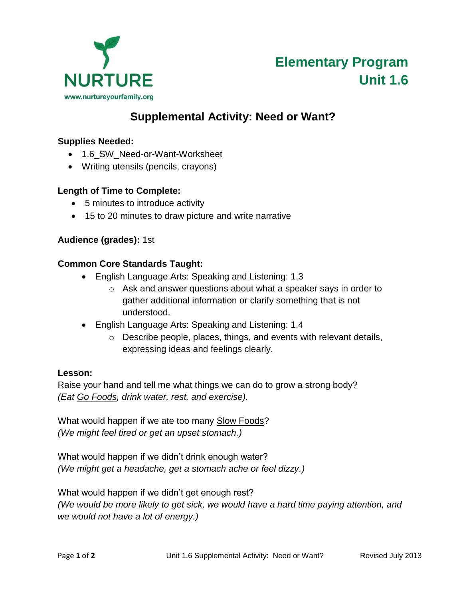

# **Elementary Program Unit 1.6**

# **Supplemental Activity: Need or Want?**

# **Supplies Needed:**

- 1.6\_SW\_Need-or-Want-Worksheet
- Writing utensils (pencils, crayons)

#### **Length of Time to Complete:**

- 5 minutes to introduce activity
- 15 to 20 minutes to draw picture and write narrative

# **Audience (grades):** 1st

#### **Common Core Standards Taught:**

- English Language Arts: Speaking and Listening: 1.3
	- o Ask and answer questions about what a speaker says in order to gather additional information or clarify something that is not understood.
- English Language Arts: Speaking and Listening: 1.4
	- o Describe people, places, things, and events with relevant details, expressing ideas and feelings clearly.

#### **Lesson:**

Raise your hand and tell me what things we can do to grow a strong body? *(Eat Go Foods, drink water, rest, and exercise).*

What would happen if we ate too many Slow Foods? *(We might feel tired or get an upset stomach.)* 

What would happen if we didn't drink enough water? *(We might get a headache, get a stomach ache or feel dizzy.)*

What would happen if we didn't get enough rest? *(We would be more likely to get sick, we would have a hard time paying attention, and we would not have a lot of energy.)*